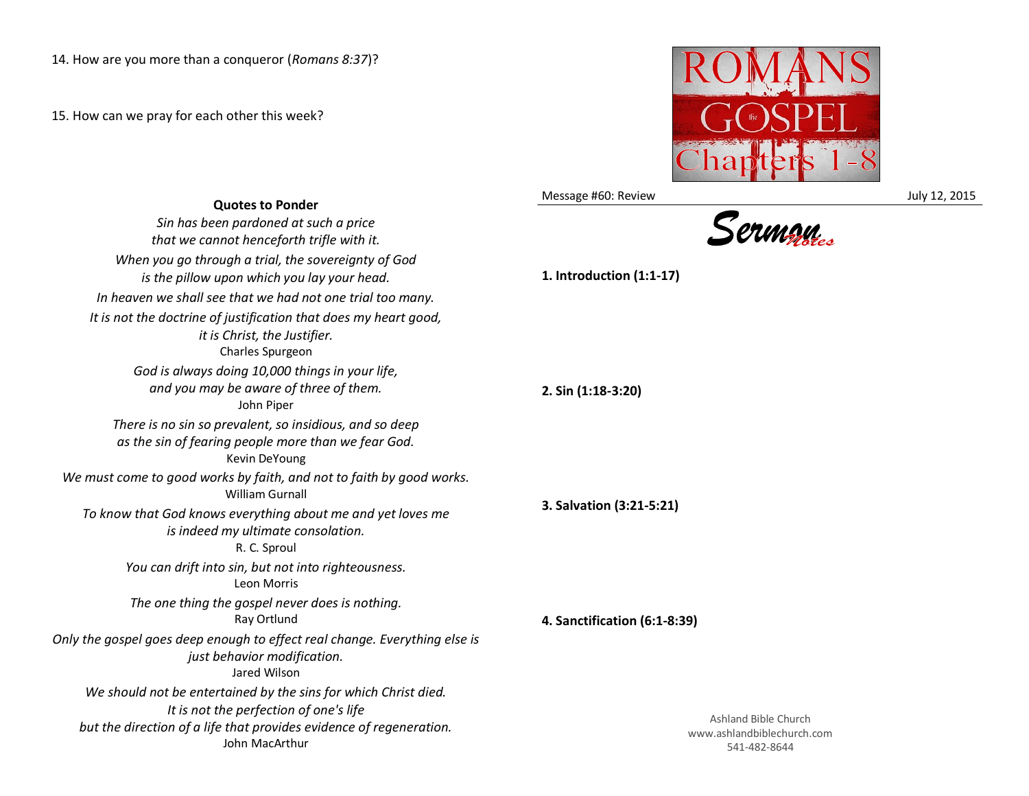15. How can we pray for each other this week?



Message #60: Review **July 12, 2015** 

| <b>Quotes to Ponder</b>                                                                                                                                                                            | iviessage #00. Neview                                           |
|----------------------------------------------------------------------------------------------------------------------------------------------------------------------------------------------------|-----------------------------------------------------------------|
| Sin has been pardoned at such a price<br>that we cannot henceforth trifle with it.                                                                                                                 |                                                                 |
| When you go through a trial, the sovereignty of God<br>is the pillow upon which you lay your head.                                                                                                 | 1. Introduction (1:1-17)                                        |
| In heaven we shall see that we had not one trial too many.                                                                                                                                         |                                                                 |
| It is not the doctrine of justification that does my heart good,<br>it is Christ, the Justifier.<br>Charles Spurgeon                                                                               |                                                                 |
| God is always doing 10,000 things in your life,<br>and you may be aware of three of them.<br>John Piper                                                                                            | 2. Sin (1:18-3:20)                                              |
| There is no sin so prevalent, so insidious, and so deep<br>as the sin of fearing people more than we fear God.<br>Kevin DeYoung                                                                    |                                                                 |
| We must come to good works by faith, and not to faith by good works.<br><b>William Gurnall</b>                                                                                                     | 3. Salvation (3:21-5:21)                                        |
| To know that God knows everything about me and yet loves me<br>is indeed my ultimate consolation.<br>R. C. Sproul                                                                                  |                                                                 |
| You can drift into sin, but not into righteousness.<br>Leon Morris                                                                                                                                 |                                                                 |
| The one thing the gospel never does is nothing.<br>Ray Ortlund                                                                                                                                     | 4. Sanctification (6:1-8:39)                                    |
| Only the gospel goes deep enough to effect real change. Everything else is<br>just behavior modification.<br>Jared Wilson                                                                          |                                                                 |
| We should not be entertained by the sins for which Christ died.<br>It is not the perfection of one's life<br>but the direction of a life that provides evidence of regeneration.<br>John MacArthur | Ashland Bible Church<br>www.ashlandbiblechurch.<br>541-482-8644 |

www.ashlandbiblechurch.com 541-482-8644